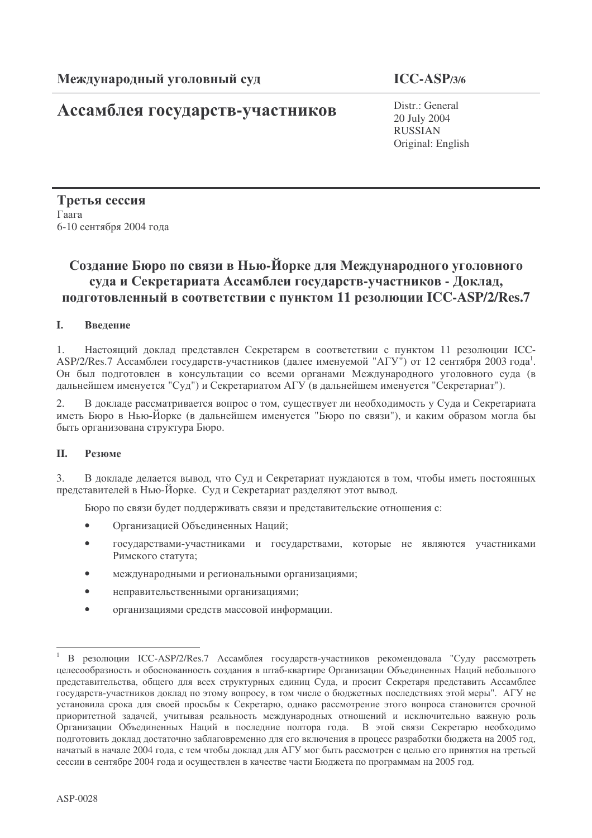# Ассамблея государств-участников

 $ICC-ASP/3/6$ 

Distr.: General 20 July 2004 **RUSSIAN** Original: English

Третья сессия Гаага 6-10 сентября 2004 года

# Создание Бюро по связи в Нью-Йорке для Международного уголовного суда и Секретариата Ассамблеи государств-участников - Доклад, подготовленный в соответствии с пунктом 11 резолюции ICC-ASP/2/Res.7

#### L. Ввеление

 $1<sub>1</sub>$ Настоящий доклад представлен Секретарем в соответствии с пунктом 11 резолюции ICC-ASP/2/Res.7 Ассамблеи государств-участников (далее именуемой "АГУ") от 12 сентября 2003 года<sup>1</sup>. Он был подготовлен в консультации со всеми органами Международного уголовного суда (в дальнейшем именуется "Суд") и Секретариатом АГУ (в дальнейшем именуется "Секретариат").

В докладе рассматривается вопрос о том, существует ли необходимость у Суда и Секретариата 2. иметь Бюро в Нью-Йорке (в дальнейшем именуется "Бюро по связи"), и каким образом могла бы быть организована структура Бюро.

#### **II.** Резюме

В докладе делается вывод, что Суд и Секретариат нуждаются в том, чтобы иметь постоянных  $\mathfrak{Z}$ . представителей в Нью-Йорке. Суд и Секретариат разделяют этот вывод.

Бюро по связи будет поддерживать связи и представительские отношения с:

- $\bullet$ Организацией Объединенных Наций;
- $\bullet$ государствами-участниками и государствами, которые не являются участниками Римского статута;
- международными и региональными организациями;  $\bullet$
- неправительственными организациями;
- организациями средств массовой информации.  $\bullet$

В резолюции ICC-ASP/2/Res.7 Ассамблея государств-участников рекомендовала "Суду рассмотреть целесообразность и обоснованность создания в штаб-квартире Организации Объединенных Наций небольшого представительства, общего для всех структурных единиц Суда, и просит Секретаря представить Ассамблее государств-участников доклад по этому вопросу, в том числе о бюджетных последствиях этой меры". АГУ не установила срока для своей просьбы к Секретарю, однако рассмотрение этого вопроса становится срочной приоритетной задачей, учитывая реальность международных отношений и исключительно важную роль Организации Объединенных Наций в последние полтора года. В этой связи Секретарю необходимо подготовить доклад достаточно заблаговременно для его включения в процесс разработки бюджета на 2005 год, начатый в начале 2004 года, с тем чтобы доклад для АГУ мог быть рассмотрен с целью его принятия на третьей сессии в сентябре 2004 года и осуществлен в качестве части Бюджета по программам на 2005 год.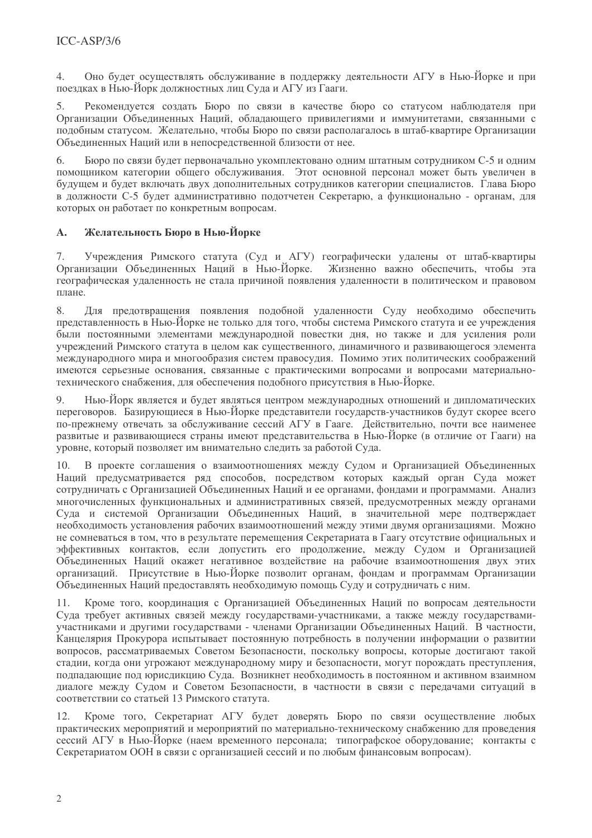Оно булет осуществлять обслуживание в поллержку леятельности АГУ в Нью-Йорке и при  $\overline{4}$ . поездках в Нью-Йорк должностных лиц Суда и АГУ из Гааги.

 $5<sub>1</sub>$ Рекомендуется создать Бюро по связи в качестве бюро со статусом наблюдателя при Организации Объединенных Наций, обладающего привилегиями и иммунитетами, связанными с полобным статусом. Желательно, чтобы Бюро по связи располагалось в штаб-квартире Организации Объединенных Наций или в непосредственной близости от нее.

Бюро по связи будет первоначально укомплектовано одним штатным сотрудником С-5 и одним 6 помошником категории общего обслуживания. Этот основной персонал может быть увеличен в будущем и будет включать двух дополнительных сотрудников категории специалистов. Глава Бюро в должности С-5 будет административно подотчетен Секретарю, а функционально - органам, для которых он работает по конкретным вопросам.

#### Желательность Бюро в Нью-Йорке  $\mathbf{A}$ .

Учреждения Римского статута (Суд и АГУ) географически удалены от штаб-квартиры  $7.$ Организации Объединенных Наций в Нью-Йорке. Жизненно важно обеспечить, чтобы эта географическая удаленность не стала причиной появления удаленности в политическом и правовом плане.

Для предотвращения появления подобной удаленности Суду необходимо обеспечить 8. представленность в Нью-Йорке не только для того, чтобы система Римского статута и ее учреждения были постоянными элементами международной повестки дня, но также и для усиления роли учреждений Римского статута в целом как существенного, динамичного и развивающегося элемента международного мира и многообразия систем правосудия. Помимо этих политических соображений имеются серьезные основания, связанные с практическими вопросами и вопросами материальнотехнического снабжения, для обеспечения подобного присутствия в Нью-Йорке.

Нью-Йорк является и будет являться центром международных отношений и дипломатических  $Q$ переговоров. Базирующиеся в Нью-Йорке представители государств-участников будут скорее всего по-прежнему отвечать за обслуживание сессий АГУ в Гааге. Действительно, почти все наименее развитые и развивающиеся страны имеют представительства в Нью-Йорке (в отличие от Гааги) на уровне, который позволяет им внимательно следить за работой Суда.

 $10<sub>1</sub>$ В проекте соглашения о взаимоотношениях между Судом и Организацией Объединенных Наций предусматривается ряд способов, посредством которых каждый орган Суда может сотрудничать с Организацией Объединенных Наций и ее органами, фондами и программами. Анализ многочисленных функциональных и административных связей, предусмотренных между органами Суда и системой Организации Объединенных Наций, в значительной мере подтверждает необходимость установления рабочих взаимоотношений между этими двумя организациями. Можно не сомневаться в том, что в результате перемещения Секретариата в Гаагу отсутствие официальных и эффективных контактов, если допустить его продолжение, между Судом и Организацией Объединенных Наций окажет негативное воздействие на рабочие взаимоотношения двух этих организаций. Присутствие в Нью-Йорке позволит органам, фондам и программам Организации Объединенных Наций предоставлять необходимую помощь Суду и сотрудничать с ним.

11. Кроме того, координация с Организацией Объединенных Наций по вопросам деятельности Суда требует активных связей между государствами-участниками, а также между государствамиучастниками и другими государствами - членами Организации Объединенных Наций. В частности, Канцелярия Прокурора испытывает постоянную потребность в получении информации о развитии вопросов, рассматриваемых Советом Безопасности, поскольку вопросы, которые достигают такой стадии, когда они угрожают международному миру и безопасности, могут порождать преступления, подпадающие под юрисдикцию Суда. Возникнет необходимость в постоянном и активном взаимном диалоге между Судом и Советом Безопасности, в частности в связи с передачами ситуаций в соответствии со статьей 13 Римского статута.

 $12.$ Кроме того, Секретариат АГУ будет доверять Бюро по связи осуществление любых практических мероприятий и мероприятий по материально-техническому снабжению для проведения сессий АГУ в Нью-Йорке (наем временного персонала; типографское оборудование; контакты с Секретариатом ООН в связи с организацией сессий и по любым финансовым вопросам).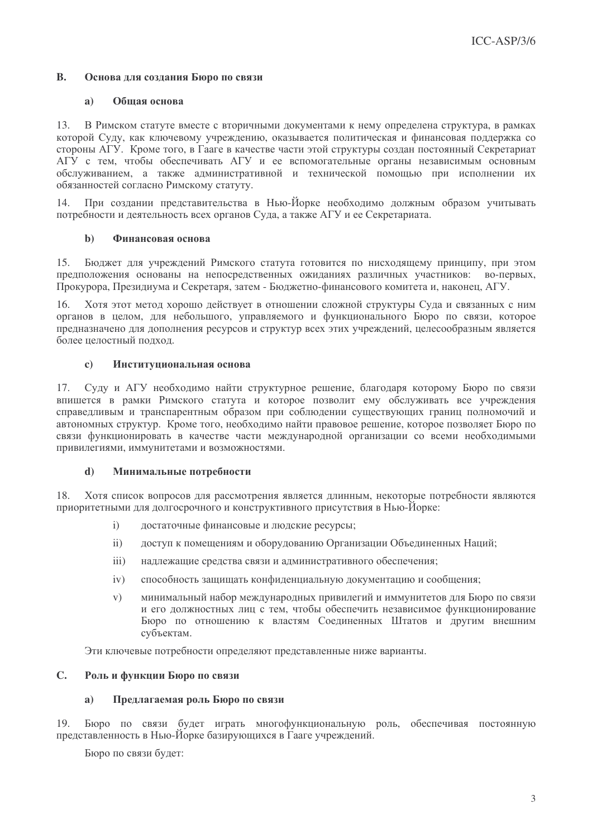#### $\mathbf{R}$ Основа для создания Бюро по связи

#### $a)$ Обшая основа

13. В Римском статуте вместе с вторичными документами к нему определена структура, в рамках которой Суду, как ключевому учреждению, оказывается политическая и финансовая поддержка со стороны АГУ. Кроме того, в Гааге в качестве части этой структуры создан постоянный Секретариат АГУ с тем, чтобы обеспечивать АГУ и ее вспомогательные органы независимым основным обслуживанием, а также административной и технической помощью при исполнении их обязанностей согласно Римскому статуту.

При создании представительства в Нью-Йорке необходимо должным образом учитывать 14. потребности и деятельность всех органов Суда, а также АГУ и ее Секретариата.

#### $h)$ Финансовая основа

15. Бюджет для учреждений Римского статута готовится по нисходящему принципу, при этом предположения основаны на непосредственных ожиданиях различных участников: во-первых, Прокурора, Президиума и Секретаря, затем - Бюджетно-финансового комитета и, наконец, АГУ.

Хотя этот метод хорошо действует в отношении сложной структуры Суда и связанных с ним органов в целом, для небольшого, управляемого и функционального Бюро по связи, которое предназначено для дополнения ресурсов и структур всех этих учреждений, целесообразным является более целостный подход.

#### Институциональная основа  $\mathbf{c}$

Суду и АГУ необходимо найти структурное решение, благодаря которому Бюро по связи впишется в рамки Римского статута и которое позволит ему обслуживать все учреждения справедливым и транспарентным образом при соблюдении существующих границ полномочий и автономных структур. Кроме того, необходимо найти правовое решение, которое позволяет Бюро по связи функционировать в качестве части международной организации со всеми необходимыми привилегиями, иммунитетами и возможностями.

#### Минимальные потребности  $\mathbf{d}$

Хотя список вопросов для рассмотрения является длинным, некоторые потребности являются 18. приоритетными для долгосрочного и конструктивного присутствия в Нью-Йорке:

- достаточные финансовые и людские ресурсы;  $i)$
- доступ к помещениям и оборудованию Организации Объединенных Наций;  $\mathbf{ii}$
- $\ddot{\mathbf{1}}$ надлежащие средства связи и административного обеспечения;
- способность защищать конфиденциальную документацию и сообщения;  $iv)$
- минимальный набор международных привилегий и иммунитетов для Бюро по связи  $V)$ и его должностных лиц с тем, чтобы обеспечить независимое функционирование Бюро по отношению к властям Соединенных Штатов и другим внешним субъектам.

Эти ключевые потребности определяют представленные ниже варианты.

#### $C_{\bullet}$ Роль и функции Бюро по связи

#### Предлагаемая роль Бюро по связи  $a)$

Бюро по связи будет играть многофункциональную роль, обеспечивая постоянную 19. представленность в Нью-Йорке базирующихся в Гааге учреждений.

Бюро по связи будет: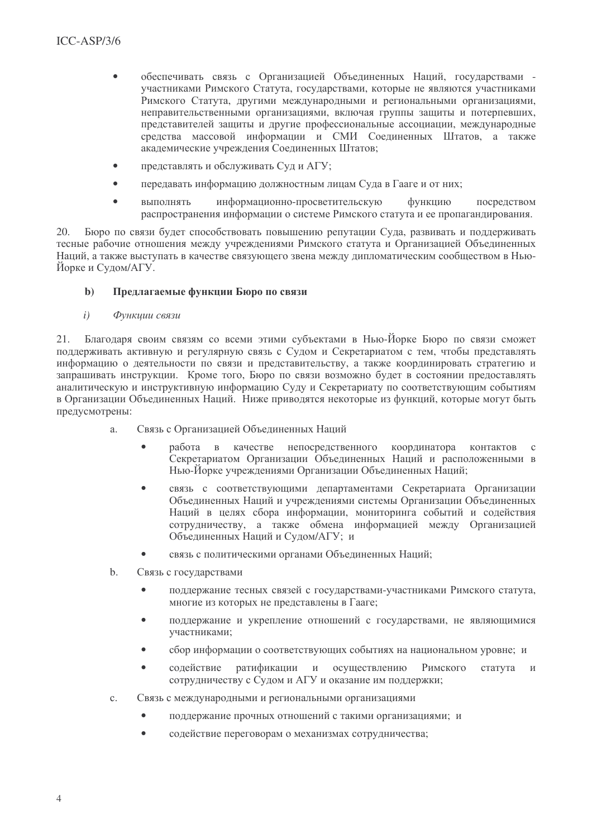- обеспечивать связь с Организацией Объединенных Наций, государствами - $\bullet$ участниками Римского Статута, государствами, которые не являются участниками Римского Статута, другими международными и региональными организациями, неправительственными организациями, включая группы защиты и потерпевших, представителей защиты и другие профессиональные ассоциации, международные средства массовой информации и СМИ Соединенных Штатов, а также акалемические учреждения Соединенных Штатов:
- представлять и обслуживать Суд и АГУ;  $\bullet$
- передавать информацию должностным лицам Суда в Гааге и от них:  $\blacksquare$
- **ВЫПОЛНЯТЬ** информационно-просветительскую функцию посредством распространения информации о системе Римского статута и ее пропагандирования.

Бюро по связи будет способствовать повышению репутации Суда, развивать и поллерживать  $20.$ тесные рабочие отношения между учреждениями Римского статута и Организацией Объединенных Наций, а также выступать в качестве связующего звена между дипломатическим сообществом в Нью-Йорке и Судом/АГУ.

#### $\mathbf{b}$ Предлагаемые функции Бюро по связи

 $i)$ Функиии связи

Благодаря своим связям со всеми этими субъектами в Нью-Йорке Бюро по связи сможет 21. поддерживать активную и регулярную связь с Судом и Секретариатом с тем, чтобы представлять информацию о деятельности по связи и представительству, а также координировать стратегию и запрашивать инструкции. Кроме того, Бюро по связи возможно будет в состоянии предоставлять аналитическую и инструктивную информацию Суду и Секретариату по соответствующим событиям в Организации Объединенных Наций. Ниже приводятся некоторые из функций, которые могут быть предусмотрены:

- Связь с Организацией Объединенных Наций  $\overline{a}$ .
	- $\bullet$ работа в качестве непосредственного координатора контактов  $\mathbf{c}$ Секретариатом Организации Объединенных Наций и расположенными в Нью-Йорке учреждениями Организации Объединенных Наций;
	- связь с соответствующими департаментами Секретариата Организации Объединенных Наций и учреждениями системы Организации Объединенных Наций в целях сбора информации, мониторинга событий и содействия сотрудничеству, а также обмена информацией между Организацией Объединенных Наций и Судом/АГУ; и
	- связь с политическими органами Объединенных Наций;  $\bullet$
- b. Связь с государствами
	- $\bullet$ поддержание тесных связей с государствами-участниками Римского статута, многие из которых не представлены в Гааге;
	- поддержание и укрепление отношений с государствами, не являющимися участниками;
	- сбор информации о соответствующих событиях на национальном уровне; и  $\bullet$
	- $\bullet$ содействие ратификации и осуществлению Римского статута сотрудничеству с Судом и АГУ и оказание им поддержки;
- Связь с международными и региональными организациями  $C_{\cdot}$ 
	- $\bullet$ поддержание прочных отношений с такими организациями; и
	- $\bullet$ содействие переговорам о механизмах сотрудничества;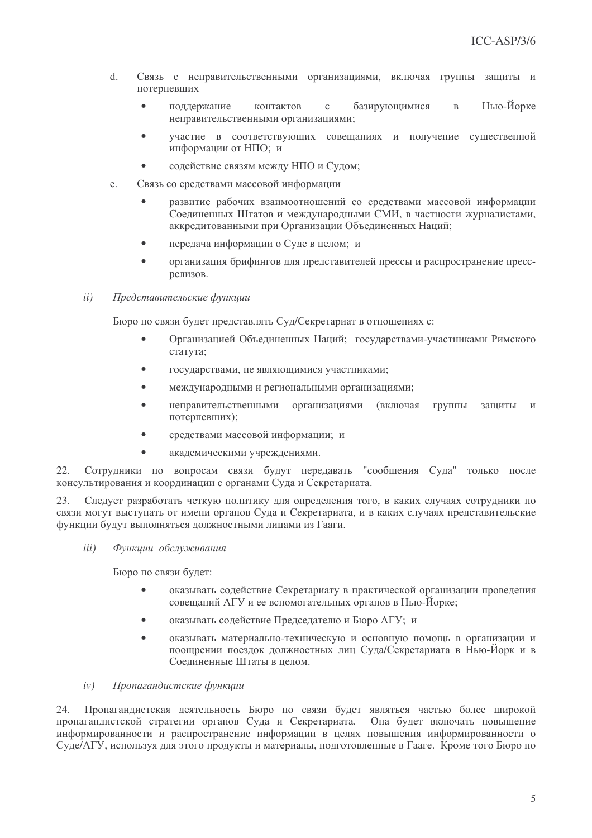- $\overline{d}$ Связь с неправительственными организациями, включая группы защиты и потерпевших
	- Нью-Йорке поллержание контактов  $\mathfrak{c}$ базирующимися  $\overline{R}$ неправительственными организациями:
	- участие в соответствующих совещаниях и получение существенной  $\bullet$ информации от НПО: и
	- содействие связям между НПО и Судом;  $\bullet$
- Связь со средствами массовой информации  $e<sub>1</sub>$ 
	- $\bullet$ развитие рабочих взаимоотношений со средствами массовой информации Соелиненных Штатов и международными СМИ, в частности журналистами. аккрелитованными при Организации Объелиненных Наций:
	- передача информации о Суде в целом; и
	- организация брифингов для представителей прессы и распространение прессрелизов.
- Представительские функции  $ii)$

Бюро по связи будет представлять Суд/Секретариат в отношениях с:

- $\bullet$ Организацией Объединенных Наций; государствами-участниками Римского статута;
- государствами, не являющимися участниками;  $\bullet$
- $\bullet$ международными и региональными организациями;
- неправительственными  $\bullet$ организациями (включая группы защиты  $\overline{M}$ потерпевших);
- средствами массовой информации; и  $\bullet$
- академическими учреждениями.

Сотрудники по вопросам связи будут передавать "сообщения Суда" только после 22. консультирования и координации с органами Суда и Секретариата.

23. Следует разработать четкую политику для определения того, в каких случаях сотрудники по связи могут выступать от имени органов Суда и Секретариата, и в каких случаях представительские функции будут выполняться должностными лицами из Гааги.

 $iii)$ Функции обслуживания

Бюро по связи будет:

- оказывать содействие Секретариату в практической организации проведения совещаний АГУ и ее вспомогательных органов в Нью-Йорке;
- оказывать содействие Председателю и Бюро АГУ; и  $\bullet$
- $\bullet$ оказывать материально-техническую и основную помощь в организации и поощрении поездок должностных лиц Суда/Секретариата в Нью-Йорк и в Соелиненные Штаты в целом.

#### $iv)$ Пропагандистские функции

Пропагандистская деятельность Бюро по связи будет являться частью более широкой 24. пропагандистской стратегии органов Суда и Секретариата. Она будет включать повышение информированности и распространение информации в целях повышения информированности о Суде/АГУ, используя для этого продукты и материалы, подготовленные в Гааге. Кроме того Бюро по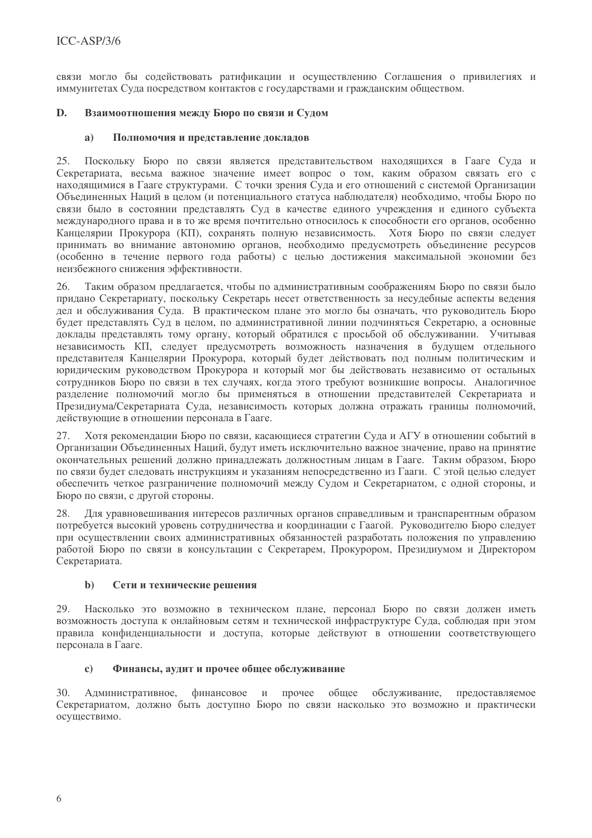связи могло бы содействовать ратификации и осуществлению Соглашения о привилегиях и иммунитетах Суда посредством контактов с государствами и гражданским обществом.

#### D. Взаимоотношения между Бюро по связи и Судом

#### $a)$ Полномочия и представление докладов

25. Поскольку Бюро по связи является представительством находящихся в Гааге Суда и Секретариата, весьма важное значение имеет вопрос о том, каким образом связать его с находящимися в Гааге структурами. С точки зрения Суда и его отношений с системой Организации Объединенных Наций в целом (и потенциального статуса наблюдателя) необходимо, чтобы Бюро по связи было в состоянии представлять Суд в качестве единого учреждения и единого субъекта международного права и в то же время почтительно относилось к способности его органов, особенно Канцелярии Прокурора (КП), сохранять полную независимость. Хотя Бюро по связи следует принимать во внимание автономию органов, необходимо предусмотреть объединение ресурсов (особенно в течение первого года работы) с целью достижения максимальной экономии без неизбежного снижения эффективности.

 $26.$ Таким образом предлагается, чтобы по административным соображениям Бюро по связи было придано Секретариату, поскольку Секретарь несет ответственность за несудебные аспекты ведения дел и обслуживания Суда. В практическом плане это могло бы означать, что руководитель Бюро будет представлять Суд в целом, по административной линии подчиняться Секретарю, а основные доклады представлять тому органу, который обратился с просьбой об обслуживании. Учитывая независимость КП, следует предусмотреть возможность назначения в будущем отдельного представителя Канцелярии Прокурора, который будет действовать под полным политическим и юридическим руководством Прокурора и который мог бы действовать независимо от остальных сотрудников Бюро по связи в тех случаях, когда этого требуют возникшие вопросы. Аналогичное разделение полномочий могло бы применяться в отношении представителей Секретариата и Президиума/Секретариата Суда, независимость которых должна отражать границы полномочий, действующие в отношении персонала в Гааге.

27. Хотя рекомендации Бюро по связи, касающиеся стратегии Суда и АГУ в отношении событий в Организации Объединенных Наций, будут иметь исключительно важное значение, право на принятие окончательных решений должно принадлежать должностным лицам в Гааге. Таким образом, Бюро по связи будет следовать инструкциям и указаниям непосредственно из Гааги. С этой целью следует обеспечить четкое разграничение полномочий между Судом и Секретариатом, с одной стороны, и Бюро по связи, с другой стороны.

Для уравновешивания интересов различных органов справедливым и транспарентным образом 28. потребуется высокий уровень сотрудничества и координации с Гаагой. Руководителю Бюро следует при осуществлении своих административных обязанностей разработать положения по управлению работой Бюро по связи в консультации с Секретарем, Прокурором, Президиумом и Директором Секретариата.

#### $\mathbf{b}$ Сети и технические решения

Насколько это возможно в техническом плане, персонал Бюро по связи должен иметь 29. возможность доступа к онлайновым сетям и технической инфраструктуре Суда, соблюдая при этом правила конфиденциальности и доступа, которые действуют в отношении соответствующего персонала в Гааге.

#### Финансы, аудит и прочее общее обслуживание  $\mathbf{c}$

Алминистративное. финансовое и прочее общее обслуживание. прелоставляемое  $30.$ Секретариатом, должно быть доступно Бюро по связи насколько это возможно и практически осуществимо.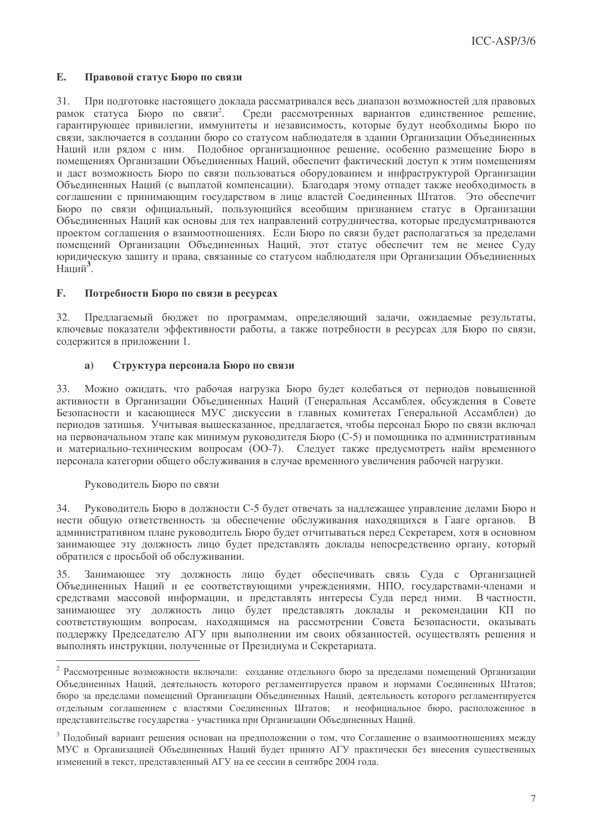#### $\mathbf{E}$ . Правовой статус Бюро по связи

31. При подготовке настоящего доклада рассматривался весь диапазон возможностей для правовых рамок статуса Бюро по связи<sup>2</sup>. Среди рассмотренных вариантов единственное решение, гарантирующее привилегии, иммунитеты и независимость, которые будут необходимы Бюро по связи, заключается в создании бюро со статусом наблюдателя в здании Организации Объединенных Наций или рядом с ним. Подобное организационное решение, особенно размещение Бюро в помещениях Организации Объединенных Наций, обеспечит фактический доступ к этим помещениям и даст возможность Бюро по связи пользоваться оборудованием и инфраструктурой Организации Объединенных Наций (с выплатой компенсации). Благодаря этому отпадет также необходимость в соглашении с принимающим государством в лице властей Соединенных Штатов. Это обеспечит Бюро по связи официальный, пользующийся всеобщим признанием статус в Организации Объединенных Наций как основы для тех направлений сотрудничества, которые предусматриваются проектом соглашения о взаимоотношениях. Если Бюро по связи будет располагаться за пределами помещений Организации Объединенных Наций, этот статус обеспечит тем не менее Суду юридическую защиту и права, связанные со статусом наблюдателя при Организации Объединенных Наций<sup>3</sup>.

#### $\mathbf{F}$ . Потребности Бюро по связи в ресурсах

32. Предлагаемый бюджет по программам, определяющий задачи, ожидаемые результаты, ключевые показатели эффективности работы, а также потребности в ресурсах для Бюро по связи, содержится в приложении 1.

#### $a)$ Структура персонала Бюро по связи

Можно ожидать, что рабочая нагрузка Бюро будет колебаться от периодов повышенной 33 активности в Организации Объединенных Наций (Генеральная Ассамблея, обсуждения в Совете Безопасности и касающиеся МУС дискуссии в главных комитетах Генеральной Ассамблеи) до периодов затишья. Учитывая вышесказанное, предлагается, чтобы персонал Бюро по связи включал на первоначальном этапе как минимум руководителя Бюро (С-5) и помощника по административным и материально-техническим вопросам (ОО-7). Следует также предусмотреть найм временного персонала категории общего обслуживания в случае временного увеличения рабочей нагрузки.

# Руководитель Бюро по связи

Руководитель Бюро в должности С-5 будет отвечать за надлежащее управление делами Бюро и  $34$ нести общую ответственность за обеспечение обслуживания находящихся в Гааге органов. В административном плане руководитель Бюро будет отчитываться перед Секретарем, хотя в основном занимающее эту должность лицо будет представлять доклады непосредственно органу, который обратился с просьбой об обслуживании.

Занимающее эту должность лицо будет обеспечивать связь Суда с Организацией  $35$ Объединенных Наций и ее соответствующими учреждениями, НПО, государствами-членами и средствами массовой информации, и представлять интересы Суда перед ними. В частности. занимающее эту должность лицо будет представлять доклады и рекомендации КП по соответствующим вопросам, находящимся на рассмотрении Совета Безопасности, оказывать поддержку Председателю АГУ при выполнении им своих обязанностей, осуществлять решения и выполнять инструкции, полученные от Президиума и Секретариата.

<sup>2</sup> Рассмотренные возможности включали: создание отдельного бюро за пределами помещений Организации Объединенных Наций, деятельность которого регламентируется правом и нормами Соединенных Штатов; бюро за пределами помещений Организации Объединенных Наций, деятельность которого регламентируется отдельным соглашением с властями Соединенных Штатов; и неофициальное бюро, расположенное в представительстве государства - участника при Организации Объединенных Наций.

<sup>&</sup>lt;sup>3</sup> Подобный вариант решения основан на предположении о том, что Соглашение о взаимоотношениях между МУС и Организацией Объединенных Наций будет принято АГУ практически без внесения существенных изменений в текст, представленный АГУ на ее сессии в сентябре 2004 года.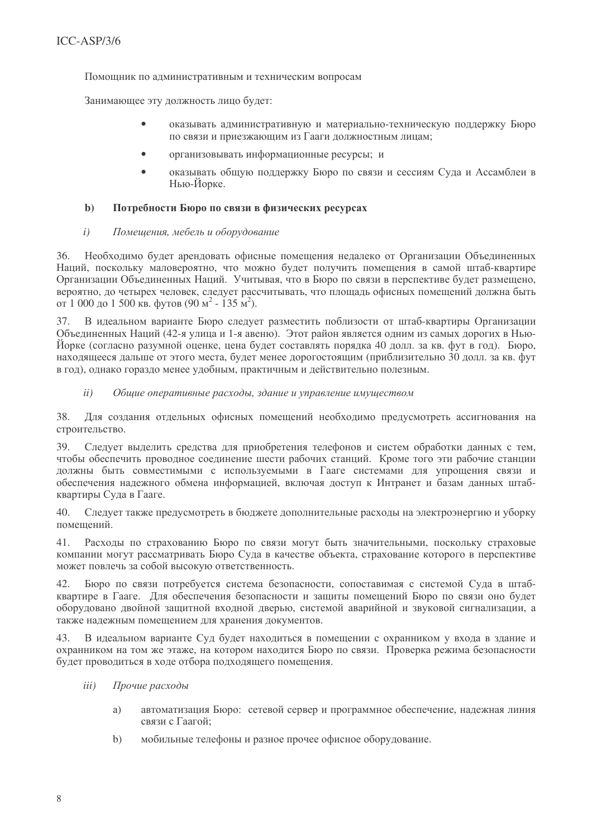Помощник по административным и техническим вопросам

Занимающее эту должность лицо будет:

- оказывать административную и материально-техническую поддержку Бюро по связи и приезжающим из Гааги должностным лицам;
- организовывать информационные ресурсы: и
- оказывать обшую поллержку Бюро по связи и сессиям Сула и Ассамблеи в Нью-Йорке.

#### $h)$ Потребности Бюро по связи в физических ресурсах

 $i)$ Помешения, мебель и оборудование

Необходимо будет арендовать офисные помещения недалеко от Организации Объединенных  $36.$ Наций, поскольку маловероятно, что можно булет получить помешения в самой штаб-квартире Организации Объединенных Наций. Учитывая, что в Бюро по связи в перспективе будет размешено. вероятно, до четырех человек, следует рассчитывать, что плошаль офисных помешений должна быть от 1 000 до 1 500 кв. футов (90 м<sup>2</sup> - 135 м<sup>2</sup>).

37. В идеальном варианте Бюро следует разместить поблизости от штаб-квартиры Организации Объединенных Наций (42-я улица и 1-я авеню). Этот район является одним из самых дорогих в Нью-Йорке (согласно разумной оценке, цена будет составлять порядка 40 долл. за кв. фут в год). Бюро, находящееся дальше от этого места, будет менее дорогостоящим (приблизительно 30 долл. за кв. фут в год), однако гораздо менее удобным, практичным и действительно полезным.

#### $ii)$ Общие оперативные расходы, здание и управление имуществом

38. Для создания отдельных офисных помещений необходимо предусмотреть ассигнования на строительство.

39. Следует выделить средства для приобретения телефонов и систем обработки данных с тем, чтобы обеспечить проводное соединение шести рабочих станций. Кроме того эти рабочие станции должны быть совместимыми с используемыми в Гааге системами для упрощения связи и обеспечения надежного обмена информацией, включая доступ к Интранет и базам данных штабквартиры Суда в Гааге.

40. Следует также предусмотреть в бюджете дополнительные расходы на электроэнергию и уборку помещений.

 $41.$ Расходы по страхованию Бюро по связи могут быть значительными, поскольку страховые компании могут рассматривать Бюро Суда в качестве объекта, страхование которого в перспективе может повлечь за собой высокую ответственность.

Бюро по связи потребуется система безопасности, сопоставимая с системой Суда в штаб-42. квартире в Гааге. Для обеспечения безопасности и защиты помещений Бюро по связи оно будет оборудовано двойной защитной входной дверью, системой аварийной и звуковой сигнализации, а также надежным помещением для хранения документов.

В идеальном варианте Суд будет находиться в помещении с охранником у входа в здание и 43. охранником на том же этаже, на котором находится Бюро по связи. Проверка режима безопасности будет проводиться в ходе отбора подходящего помещения.

- $iii)$ Прочие расходы
	- автоматизация Бюро: сетевой сервер и программное обеспечение, надежная линия a) связи с Гаагой;
	- мобильные телефоны и разное прочее офисное оборудование.  $b)$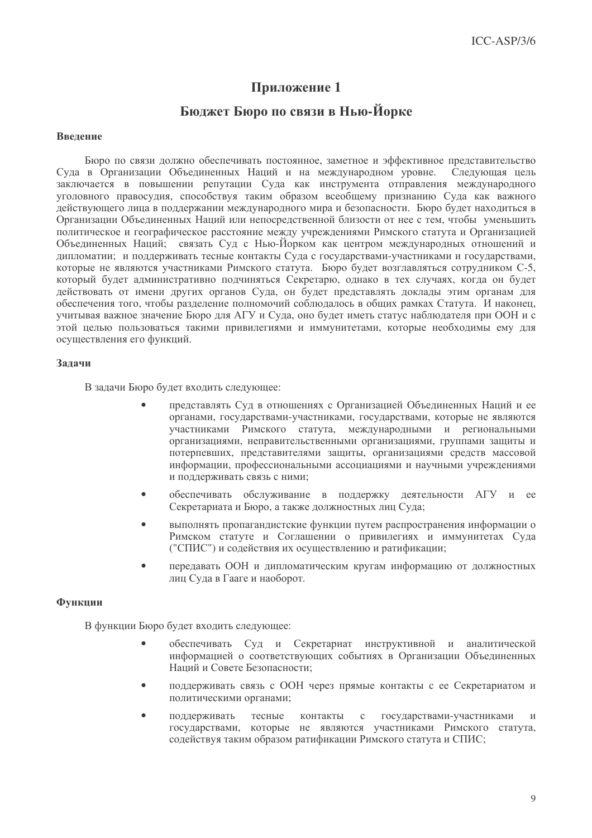# Приложение 1

# Бюджет Бюро по связи в Нью-Йорке

### Ввеление

Бюро по связи должно обеспечивать постоянное, заметное и эффективное представительство Суда в Организации Объединенных Наций и на международном уровне. Следующая цель заключается в повышении репутации Суда как инструмента отправления международного уголовного правосудия, способствуя таким образом всеобщему признанию Суда как важного действующего лица в поддержании международного мира и безопасности. Бюро будет находиться в Организации Объелиненных Наций или непосредственной близости от нее с тем, чтобы уменьшить политическое и географическое расстояние межлу учреждениями Римского статута и Организацией Объединенных Наций; связать Суд с Нью-Йорком как центром международных отношений и дипломатии; и поддерживать тесные контакты Суда с государствами-участниками и государствами, которые не являются участниками Римского статута. Бюро будет возглавляться сотрудником С-5. который булет алминистративно полчиняться Секретарю, однако в тех случаях, когда он булет действовать от имени других органов Суда, он будет представлять доклады этим органам для обеспечения того, чтобы разлеление полномочий соблюдалось в обших рамках Статута. И наконец, учитывая важное значение Бюро для АГУ и Суда, оно будет иметь статус наблюдателя при ООН и с этой целью пользоваться такими привилегиями и иммунитетами, которые необходимы ему для осуществления его функций.

### Залачи

В задачи Бюро будет входить следующее:

- представлять Суд в отношениях с Организацией Объединенных Наций и ее органами, государствами-участниками, государствами, которые не являются участниками Римского статута, международными и региональными организациями, неправительственными организациями, группами защиты и потерпевших, представителями защиты, организациями средств массовой информации, профессиональными ассоциациями и научными учреждениями и поддерживать связь с ними;
- обеспечивать обслуживание в поддержку деятельности АГУ и ee Секретариата и Бюро, а также должностных лиц Суда;
- выполнять пропагандистские функции путем распространения информации о  $\bullet$ Римском статуте и Соглашении о привилегиях и иммунитетах Суда ("СПИС") и содействия их осуществлению и ратификации;
- передавать ООН и дипломатическим кругам информацию от должностных  $\bullet$ лиц Суда в Гааге и наоборот.

# Функции

В функции Бюро будет входить следующее:

- обеспечивать Суд и Секретариат инструктивной и аналитической информацией о соответствующих событиях в Организации Объединенных Наций и Совете Безопасности:
- поддерживать связь с ООН через прямые контакты с ее Секретариатом и политическими органами;
- поддерживать тесные контакты  $\mathbf{c}$ государствами-участниками  $\overline{M}$ государствами, которые не являются участниками Римского статута, содействуя таким образом ратификации Римского статута и СПИС;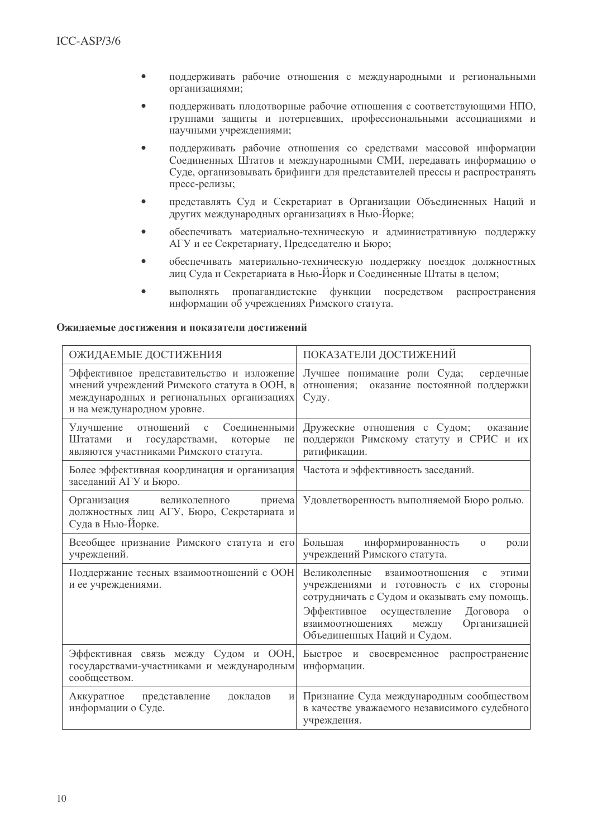- $\bullet$ поддерживать рабочие отношения с международными и региональными организациями;
- поддерживать плодотворные рабочие отношения с соответствующими НПО. группами защиты и потерпевших, профессиональными ассоциациями и научными учреждениями:
- поддерживать рабочие отношения со средствами массовой информации Соединенных Штатов и международными СМИ, передавать информацию о Суде, организовывать брифинги для представителей прессы и распространять пресс-релизы:
- представлять Суд и Секретариат в Организации Объединенных Наций и  $\bullet$ лоугих международных организациях в Нью-Йорке:
- обеспечивать материально-техническую и алминистративную поллержку АГУ и ее Секретариату, Председателю и Бюро;
- обеспечивать материально-техническую поддержку поездок должностных  $\blacksquare$ лиц Сула и Секретариата в Нью-Йорк и Соелиненные Штаты в целом:
- выполнять пропагандистские функции посредством распространения информации об учреждениях Римского статута.

### Ожилаемые лостижения и показатели лостижений

| ОЖИДАЕМЫЕ ДОСТИЖЕНИЯ                                                                                                                                                | ПОКАЗАТЕЛИ ДОСТИЖЕНИЙ                                                                                                                                                                                                                                                                  |  |  |  |
|---------------------------------------------------------------------------------------------------------------------------------------------------------------------|----------------------------------------------------------------------------------------------------------------------------------------------------------------------------------------------------------------------------------------------------------------------------------------|--|--|--|
| Эффективное представительство и изложение<br>мнений учреждений Римского статута в ООН, в<br>международных и региональных организациях<br>и на международном уровне. | Лучшее понимание роли Суда;<br>сердечные<br>отношения;<br>оказание постоянной поддержки<br>Суду.                                                                                                                                                                                       |  |  |  |
| Улучшение<br>отношений с<br>Соединенными<br>Штатами<br>$\mathbf{M}$<br>государствами,<br>которые<br>He<br>являются участниками Римского статута.                    | Дружеские отношения с Судом;<br>оказание<br>поддержки Римскому статуту и СРИС и их<br>ратификации.                                                                                                                                                                                     |  |  |  |
| Более эффективная координация и организация<br>заседаний АГУ и Бюро.                                                                                                | Частота и эффективность заседаний.                                                                                                                                                                                                                                                     |  |  |  |
| Организация<br>приема<br>великолепного<br>должностных лиц АГУ, Бюро, Секретариата и<br>Суда в Нью-Йорке.                                                            | Удовлетворенность выполняемой Бюро ролью.                                                                                                                                                                                                                                              |  |  |  |
| Всеобщее признание Римского статута и его<br>учреждений.                                                                                                            | Большая<br>информированность<br>$\Omega$<br>роли<br>учреждений Римского статута.                                                                                                                                                                                                       |  |  |  |
| Поддержание тесных взаимоотношений с ООН<br>и ее учреждениями.                                                                                                      | Великолепные<br>взаимоотношения<br>ЭТИМИ<br>$\mathbf{C}$<br>учреждениями и готовность с их стороны<br>сотрудничать с Судом и оказывать ему помощь.<br>Эффективное<br>осуществление<br>Договора<br>$\Omega$<br>Организацией<br>взаимоотношениях<br>между<br>Объединенных Наций и Судом. |  |  |  |
| Эффективная связь между Судом и ООН,<br>государствами-участниками и международным<br>сообществом.                                                                   | Быстрое и своевременное распространение<br>информации.                                                                                                                                                                                                                                 |  |  |  |
| Аккуратное<br>докладов<br>представление<br>$\boldsymbol{\mathrm{M}}$<br>информации о Суде.                                                                          | Признание Суда международным сообществом<br>в качестве уважаемого независимого судебного<br>учреждения.                                                                                                                                                                                |  |  |  |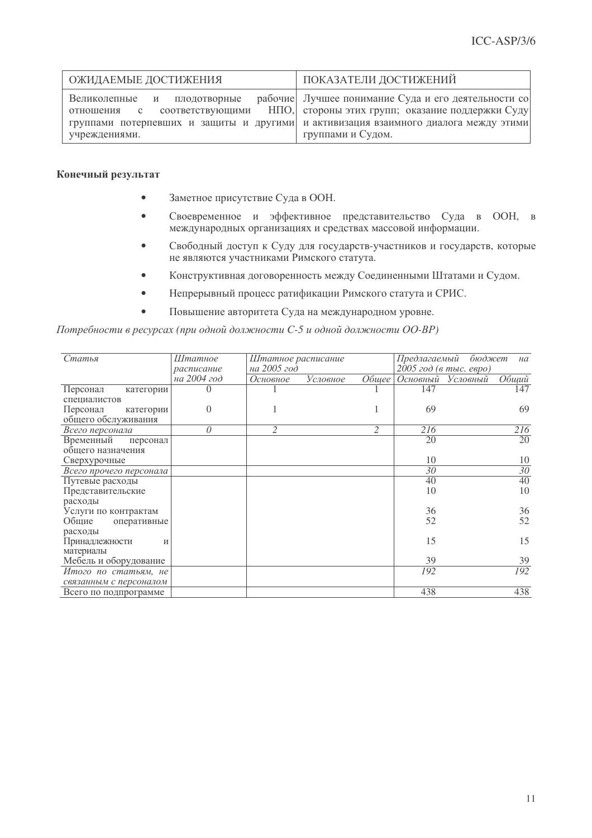| ОЖИДАЕМЫЕ ДОСТИЖЕНИЯ                                        | ПОКАЗАТЕЛИ ДОСТИЖЕНИЙ                                                                                                                                                                                                                |  |  |  |
|-------------------------------------------------------------|--------------------------------------------------------------------------------------------------------------------------------------------------------------------------------------------------------------------------------------|--|--|--|
| Великолепные и плодотворные<br>отношения с<br>учреждениями. | рабочие Лучшее понимание Суда и его деятельности со<br>соответствующими НПО, стороны этих групп; оказание поддержки Суду<br>группами потерпевших и защиты и другими и активизация взаимного диалога между этими<br>группами и Судом. |  |  |  |

### Конечный результат

- Заметное присутствие Суда в ООН.
- Своевременное и эффективное представительство Суда в ООН, в международных организациях и средствах массовой информации.
- Свободный доступ к Суду для государств-участников и государств, которые не являются участниками Римского статута.
- Конструктивная договоренность между Соединенными Штатами и Судом.
- Непрерывный процесс ратификации Римского статута и СРИС.
- Повышение авторитета Суда на международном уровне.

Потребности в ресурсах (при одной должности С-5 и одной должности ОО-ВР)

| Статья                  | Штатное      | Штатное расписание |          |              | Предлагаемый<br>бюджет<br>на |                   |       |
|-------------------------|--------------|--------------------|----------|--------------|------------------------------|-------------------|-------|
|                         | расписание   | на 2005 год        |          |              | $2005$ год (в тыс. евро)     |                   |       |
|                         | на 2004 год  | Основное           | Условное | <i>Обшее</i> |                              | Основный Условный | Общий |
| Персонал<br>категории   | $\mathbf{0}$ |                    |          |              | 147                          |                   | 147   |
| специалистов            |              |                    |          |              |                              |                   |       |
| Персонал<br>категории   | $\theta$     |                    |          |              | 69                           |                   | 69    |
| общего обслуживания     |              |                    |          |              |                              |                   |       |
| Всего персонала         | 0            | 2                  |          | 2            | 216                          |                   | 216   |
| Временный<br>персонал   |              |                    |          |              | 20                           |                   | 20    |
| общего назначения       |              |                    |          |              |                              |                   |       |
| Сверхурочные            |              |                    |          |              | 10                           |                   | 10    |
| Всего прочего персонала |              |                    |          |              | 30                           |                   | 30    |
| Путевые расходы         |              |                    |          |              | 40                           |                   | 40    |
| Представительские       |              |                    |          |              | 10                           |                   | 10    |
| расходы                 |              |                    |          |              |                              |                   |       |
| Услуги по контрактам    |              |                    |          |              | 36                           |                   | 36    |
| Общие<br>оперативные    |              |                    |          |              | 52                           |                   | 52    |
| расходы                 |              |                    |          |              |                              |                   |       |
| Принадлежности<br>И     |              |                    |          |              | 15                           |                   | 15    |
| материалы               |              |                    |          |              |                              |                   |       |
| Мебель и оборудование   |              |                    |          |              | 39                           |                   | 39    |
| Итого по статьям, не    |              |                    |          |              | 192                          |                   | 192   |
| связанным с персоналом  |              |                    |          |              |                              |                   |       |
| Всего по подпрограмме   |              |                    |          |              | 438                          |                   | 438   |